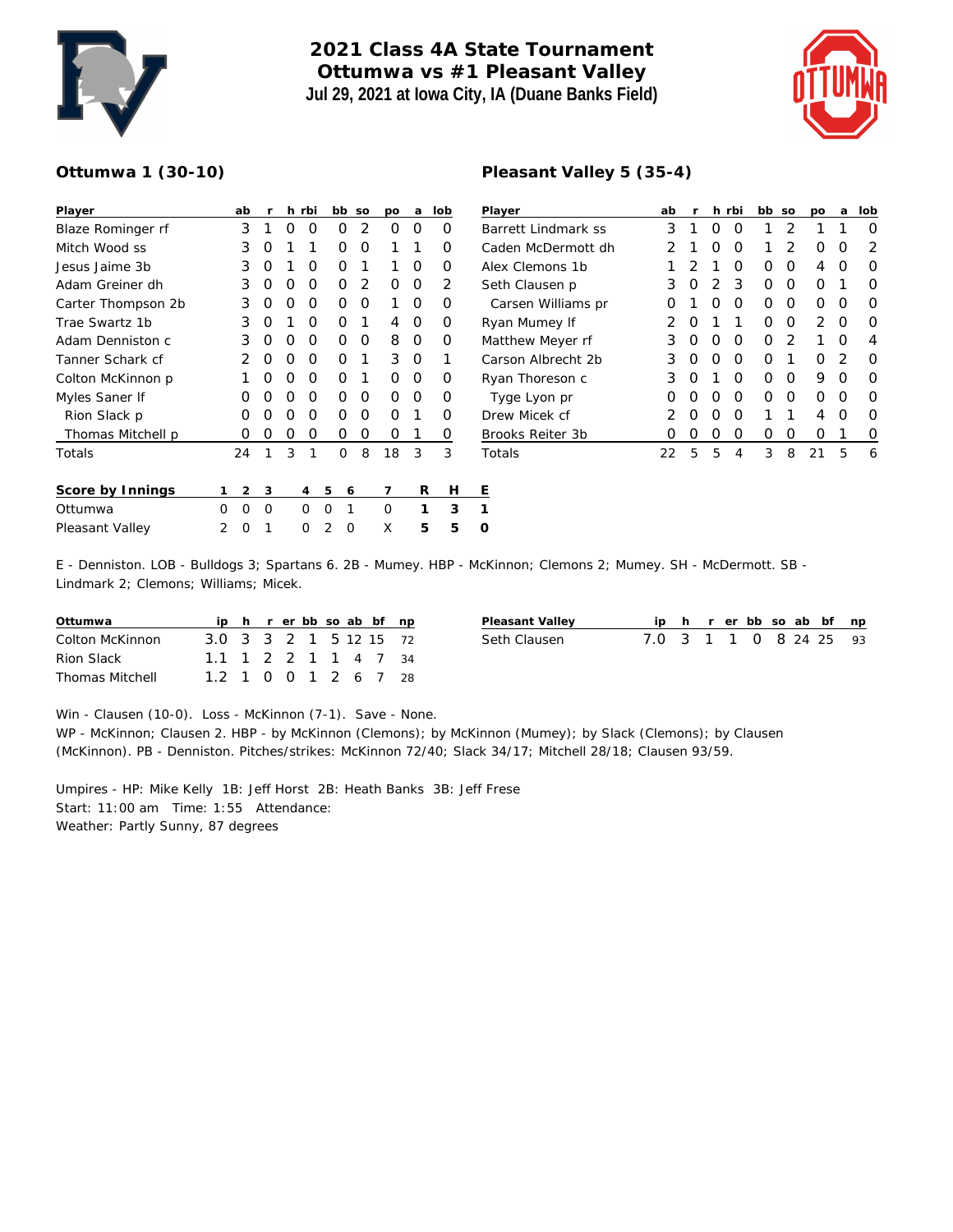

## **2021 Class 4A State Tournament Ottumwa vs #1 Pleasant Valley Jul 29, 2021 at Iowa City, IA (Duane Banks Field)**



## **Ottumwa 1 (30-10)**

| Player             |   | ab | r |   | h rbi |   | bb | SO            | DO | a | lob | ⊵              |
|--------------------|---|----|---|---|-------|---|----|---------------|----|---|-----|----------------|
| Blaze Rominger rf  |   | 3  | 1 | O | Ω     |   | Ω  | $\mathcal{P}$ | O  | Ω | Ω   | B              |
| Mitch Wood ss      |   | 3  | Ο | 1 | 1     |   | Ω  | ∩             | 1  | 1 | Ω   | C              |
| Jesus Jaime 3b     |   | 3  | Ο | 1 | O     |   | Ο  | 1             | 1  | Ο | 0   | Α              |
| Adam Greiner dh    |   | 3  | Ο | O | O     |   | Ο  | 2             | Ω  | Ο | 2   | S              |
| Carter Thompson 2b |   | 3  | Ο | 0 | O     |   | Ο  | Ο             | 1  | Ο | Ω   |                |
| Trae Swartz 1b     |   | 3  | Ο | 1 | O     |   | O  | 1             | 4  | Ο | 0   | R              |
| Adam Denniston c   |   | 3  | Ω | O | O     |   | Ο  | Ω             | 8  | Ο | Ω   | M              |
| Tanner Schark cf   |   | 2  | Ο | O | O     |   | O  | 1             | 3  | O | 1   | С              |
| Colton McKinnon p  |   |    | Ο | O | O     |   | Ο  | 1             | Ω  | Ο | Ω   | R              |
| Myles Saner If     |   | O  | Ο | 0 | 0     |   | O  | O             | O  | O | Ο   |                |
| Rion Slack p       |   | O  | Ο | O | O     |   | Ω  | O             | Ω  | 1 | O   | D              |
| Thomas Mitchell p  |   | Ω  | Ω | O | 0     |   | Ω  | Ο             | Ω  | 1 | O   | $\overline{B}$ |
| Totals             |   | 24 | 1 | 3 | 1     |   | O  | 8             | 18 | 3 | 3   | Τ              |
| Score by Innings   | 1 | 2  | 3 |   | 4     | 5 | 6  |               | 7  | R | Н   | Ε              |
| Ottumwa            | Ω | O  | O |   | O     | O | 1  |               | O  | 1 | 3   | 1              |
| Pleasant Valley    | 2 | Ω  |   |   | Ω     | 2 | Ω  |               | X  | 5 | 5   | O              |

| Player              | ab            | r                | h. | rbi | bb | SO | <b>DO</b>     | a             | lob |
|---------------------|---------------|------------------|----|-----|----|----|---------------|---------------|-----|
| Barrett Lindmark ss | 3             | 1                | Ω  | O   | 1  | 2  | 1             | 1             | Ω   |
| Caden McDermott dh  | っ             | 1                | Ω  | O   | 1  | 2  | Ω             | O             | 2   |
| Alex Clemons 1b     | 1             | 2                | 1  | Ω   | Ω  | O  | 4             | O             | 0   |
| Seth Clausen p      | 3             | Ω                | 2  | 3   | Ω  | O  | Ω             | 1             | Ω   |
| Carsen Williams pr  | Ω             | 1                | O  | O   | Ω  | ∩  | Ω             | O             | 0   |
| Ryan Mumey If       | 2             | Ω                | 1  | 1   | Ω  | O  | $\mathcal{P}$ | O             | Ω   |
| Matthew Meyer rf    | 3             | Ω                | O  | O   | Ω  | 2  | 1             | ∩             | 4   |
| Carson Albrecht 2b  | 3             | Ω                | O  | O   | O  | 1  | Ω             | $\mathcal{P}$ | 0   |
| Ryan Thoreson c     | 3             | Ω                | 1  | Ω   | Ω  | Ω  | 9             | Ω             | Ω   |
| Tyge Lyon pr        | Ω             | ∩                | O  | O   | Ω  | ∩  | ∩             | O             | Ω   |
| Drew Micek cf       | $\mathcal{P}$ | Ω                | ∩  | O   | 1  | 1  | 4             | O             | Ω   |
| Brooks Reiter 3b    | Ω             | $\left( \right)$ | Ω  | Ο   | Ω  | Ω  | Ω             | 1             | 0   |
| Totals              | 22            | 5                | 5  | 4   | 3  | 8  | 21            | 5             | 6   |

**Pleasant Valley 5 (35-4)**

E - Denniston. LOB - Bulldogs 3; Spartans 6. 2B - Mumey. HBP - McKinnon; Clemons 2; Mumey. SH - McDermott. SB - Lindmark 2; Clemons; Williams; Micek.

| Ottumwa                |                        |  |  |  | ip h r er bb so ab bf np |  |
|------------------------|------------------------|--|--|--|--------------------------|--|
| Colton McKinnon        | 3.0 3 3 2 1 5 12 15 72 |  |  |  |                          |  |
| Rion Slack             | 1.1 1 2 2 1 1 4 7 34   |  |  |  |                          |  |
| <b>Thomas Mitchell</b> | 1.2 1 0 0 1 2 6 7 28   |  |  |  |                          |  |

| Pleasant Valley |                        |  |  |  | ip h r er bb so ab bf np |  |
|-----------------|------------------------|--|--|--|--------------------------|--|
| Seth Clausen    | 7.0 3 1 1 0 8 24 25 93 |  |  |  |                          |  |

Win - Clausen (10-0). Loss - McKinnon (7-1). Save - None.

WP - McKinnon; Clausen 2. HBP - by McKinnon (Clemons); by McKinnon (Mumey); by Slack (Clemons); by Clausen (McKinnon). PB - Denniston. Pitches/strikes: McKinnon 72/40; Slack 34/17; Mitchell 28/18; Clausen 93/59.

Umpires - HP: Mike Kelly 1B: Jeff Horst 2B: Heath Banks 3B: Jeff Frese Start: 11:00 am Time: 1:55 Attendance: Weather: Partly Sunny, 87 degrees